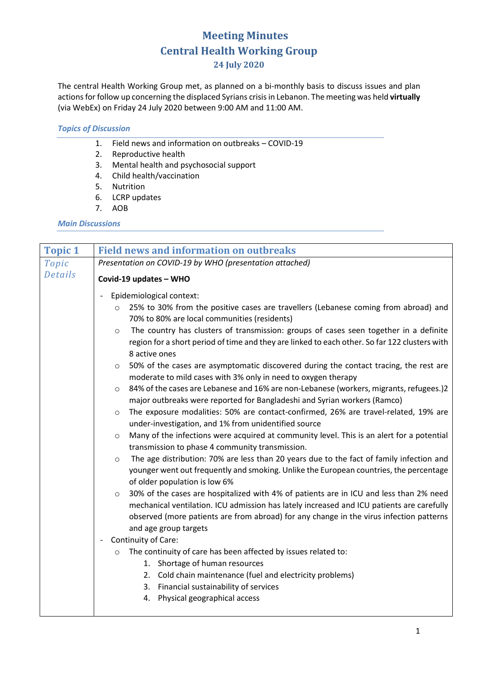## **Meeting Minutes Central Health Working Group 24 July 2020**

The central Health Working Group met, as planned on a bi-monthly basis to discuss issues and plan actions for follow up concerning the displaced Syrians crisisin Lebanon. The meeting was held **virtually** (via WebEx) on Friday 24 July 2020 between 9:00 AM and 11:00 AM.

## *Topics of Discussion*

- 1. Field news and information on outbreaks COVID-19
- 2. Reproductive health
- 3. Mental health and psychosocial support
- 4. Child health/vaccination
- 5. Nutrition
- 6. LCRP updates
- 7. AOB

## *Main Discussions*

| <b>Topic 1</b> | <b>Field news and information on outbreaks</b>                                                                                                                                                                                                                                                                                                                                                                                                                                                                                                                                                                                                                                                                                                                                                                                                                                                                                                                                                                                                                                                                                                                                     |  |  |  |  |  |
|----------------|------------------------------------------------------------------------------------------------------------------------------------------------------------------------------------------------------------------------------------------------------------------------------------------------------------------------------------------------------------------------------------------------------------------------------------------------------------------------------------------------------------------------------------------------------------------------------------------------------------------------------------------------------------------------------------------------------------------------------------------------------------------------------------------------------------------------------------------------------------------------------------------------------------------------------------------------------------------------------------------------------------------------------------------------------------------------------------------------------------------------------------------------------------------------------------|--|--|--|--|--|
| Topic          | Presentation on COVID-19 by WHO (presentation attached)                                                                                                                                                                                                                                                                                                                                                                                                                                                                                                                                                                                                                                                                                                                                                                                                                                                                                                                                                                                                                                                                                                                            |  |  |  |  |  |
| Details        | Covid-19 updates - WHO                                                                                                                                                                                                                                                                                                                                                                                                                                                                                                                                                                                                                                                                                                                                                                                                                                                                                                                                                                                                                                                                                                                                                             |  |  |  |  |  |
|                | Epidemiological context:<br>25% to 30% from the positive cases are travellers (Lebanese coming from abroad) and<br>$\circ$<br>70% to 80% are local communities (residents)<br>The country has clusters of transmission: groups of cases seen together in a definite<br>$\circ$<br>region for a short period of time and they are linked to each other. So far 122 clusters with<br>8 active ones<br>50% of the cases are asymptomatic discovered during the contact tracing, the rest are<br>$\circ$<br>moderate to mild cases with 3% only in need to oxygen therapy<br>84% of the cases are Lebanese and 16% are non-Lebanese (workers, migrants, refugees.)2<br>$\circ$<br>major outbreaks were reported for Bangladeshi and Syrian workers (Ramco)<br>The exposure modalities: 50% are contact-confirmed, 26% are travel-related, 19% are<br>$\circ$<br>under-investigation, and 1% from unidentified source<br>Many of the infections were acquired at community level. This is an alert for a potential<br>$\circ$<br>transmission to phase 4 community transmission.<br>The age distribution: 70% are less than 20 years due to the fact of family infection and<br>$\circ$ |  |  |  |  |  |
|                | younger went out frequently and smoking. Unlike the European countries, the percentage<br>of older population is low 6%<br>30% of the cases are hospitalized with 4% of patients are in ICU and less than 2% need<br>$\circ$<br>mechanical ventilation. ICU admission has lately increased and ICU patients are carefully<br>observed (more patients are from abroad) for any change in the virus infection patterns<br>and age group targets<br>Continuity of Care:<br>$\overline{\phantom{a}}$<br>The continuity of care has been affected by issues related to:<br>$\circ$<br>1. Shortage of human resources<br>2. Cold chain maintenance (fuel and electricity problems)<br>3. Financial sustainability of services<br>4. Physical geographical access                                                                                                                                                                                                                                                                                                                                                                                                                         |  |  |  |  |  |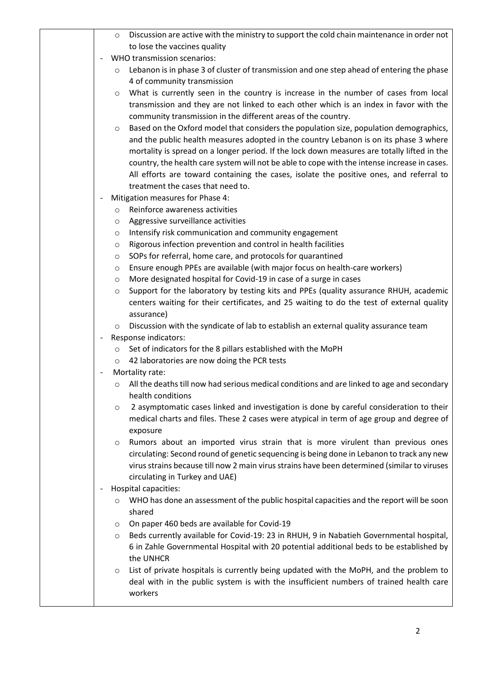|                              | $\circ$            | Discussion are active with the ministry to support the cold chain maintenance in order not                                                              |
|------------------------------|--------------------|---------------------------------------------------------------------------------------------------------------------------------------------------------|
|                              |                    | to lose the vaccines quality                                                                                                                            |
|                              |                    | WHO transmission scenarios:                                                                                                                             |
|                              | $\circ$            | Lebanon is in phase 3 of cluster of transmission and one step ahead of entering the phase                                                               |
|                              |                    | 4 of community transmission                                                                                                                             |
|                              | $\circ$            | What is currently seen in the country is increase in the number of cases from local                                                                     |
|                              |                    | transmission and they are not linked to each other which is an index in favor with the<br>community transmission in the different areas of the country. |
|                              | $\circ$            | Based on the Oxford model that considers the population size, population demographics,                                                                  |
|                              |                    | and the public health measures adopted in the country Lebanon is on its phase 3 where                                                                   |
|                              |                    | mortality is spread on a longer period. If the lock down measures are totally lifted in the                                                             |
|                              |                    | country, the health care system will not be able to cope with the intense increase in cases.                                                            |
|                              |                    | All efforts are toward containing the cases, isolate the positive ones, and referral to                                                                 |
|                              |                    | treatment the cases that need to.                                                                                                                       |
|                              |                    | Mitigation measures for Phase 4:                                                                                                                        |
|                              | $\circ$            | Reinforce awareness activities                                                                                                                          |
|                              | O                  | Aggressive surveillance activities                                                                                                                      |
|                              | $\circ$            | Intensify risk communication and community engagement                                                                                                   |
|                              | O                  | Rigorous infection prevention and control in health facilities                                                                                          |
|                              | $\circ$            | SOPs for referral, home care, and protocols for quarantined                                                                                             |
|                              | $\circ$            | Ensure enough PPEs are available (with major focus on health-care workers)<br>More designated hospital for Covid-19 in case of a surge in cases         |
|                              | $\circ$<br>$\circ$ | Support for the laboratory by testing kits and PPEs (quality assurance RHUH, academic                                                                   |
|                              |                    | centers waiting for their certificates, and 25 waiting to do the test of external quality                                                               |
|                              |                    | assurance)                                                                                                                                              |
|                              | $\circ$            | Discussion with the syndicate of lab to establish an external quality assurance team                                                                    |
| $\overline{\phantom{a}}$     |                    | Response indicators:                                                                                                                                    |
|                              | $\circ$            | Set of indicators for the 8 pillars established with the MoPH                                                                                           |
|                              | $\circ$            | 42 laboratories are now doing the PCR tests                                                                                                             |
| $\qquad \qquad \blacksquare$ |                    | Mortality rate:                                                                                                                                         |
|                              | O                  | All the deaths till now had serious medical conditions and are linked to age and secondary<br>health conditions                                         |
|                              |                    | 2 asymptomatic cases linked and investigation is done by careful consideration to their                                                                 |
|                              | $\circ$            | medical charts and files. These 2 cases were atypical in term of age group and degree of                                                                |
|                              |                    | exposure                                                                                                                                                |
|                              | $\circ$            | Rumors about an imported virus strain that is more virulent than previous ones                                                                          |
|                              |                    | circulating: Second round of genetic sequencing is being done in Lebanon to track any new                                                               |
|                              |                    | virus strains because till now 2 main virus strains have been determined (similar to viruses                                                            |
|                              |                    | circulating in Turkey and UAE)                                                                                                                          |
|                              |                    | Hospital capacities:                                                                                                                                    |
|                              |                    | WHO has done an assessment of the public hospital capacities and the report will be soon<br>shared                                                      |
|                              | $\circ$            | On paper 460 beds are available for Covid-19                                                                                                            |
|                              | O                  | Beds currently available for Covid-19: 23 in RHUH, 9 in Nabatieh Governmental hospital,                                                                 |
|                              |                    | 6 in Zahle Governmental Hospital with 20 potential additional beds to be established by                                                                 |
|                              |                    | the UNHCR                                                                                                                                               |
|                              | O                  | List of private hospitals is currently being updated with the MoPH, and the problem to                                                                  |
|                              |                    | deal with in the public system is with the insufficient numbers of trained health care                                                                  |
|                              |                    |                                                                                                                                                         |
|                              |                    | workers                                                                                                                                                 |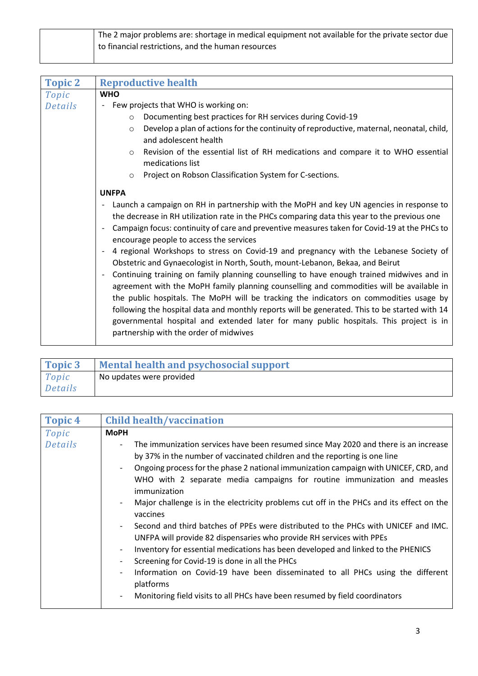| The 2 major problems are: shortage in medical equipment not available for the private sector due |
|--------------------------------------------------------------------------------------------------|
| to financial restrictions, and the human resources                                               |

| <b>Topic 2</b> | <b>Reproductive health</b>                                                                                                                                                         |  |  |  |  |  |  |  |
|----------------|------------------------------------------------------------------------------------------------------------------------------------------------------------------------------------|--|--|--|--|--|--|--|
| Topic          | <b>WHO</b>                                                                                                                                                                         |  |  |  |  |  |  |  |
| Details        | Few projects that WHO is working on:                                                                                                                                               |  |  |  |  |  |  |  |
|                | Documenting best practices for RH services during Covid-19<br>$\circ$                                                                                                              |  |  |  |  |  |  |  |
|                | Develop a plan of actions for the continuity of reproductive, maternal, neonatal, child,<br>$\circ$<br>and adolescent health                                                       |  |  |  |  |  |  |  |
|                | Revision of the essential list of RH medications and compare it to WHO essential<br>$\circ$<br>medications list                                                                    |  |  |  |  |  |  |  |
|                | Project on Robson Classification System for C-sections.<br>$\circ$                                                                                                                 |  |  |  |  |  |  |  |
|                | <b>UNFPA</b>                                                                                                                                                                       |  |  |  |  |  |  |  |
|                | Launch a campaign on RH in partnership with the MoPH and key UN agencies in response to                                                                                            |  |  |  |  |  |  |  |
|                | the decrease in RH utilization rate in the PHCs comparing data this year to the previous one                                                                                       |  |  |  |  |  |  |  |
|                | Campaign focus: continuity of care and preventive measures taken for Covid-19 at the PHCs to<br>encourage people to access the services                                            |  |  |  |  |  |  |  |
|                | 4 regional Workshops to stress on Covid-19 and pregnancy with the Lebanese Society of<br>Obstetric and Gynaecologist in North, South, mount-Lebanon, Bekaa, and Beirut             |  |  |  |  |  |  |  |
|                | Continuing training on family planning counselling to have enough trained midwives and in                                                                                          |  |  |  |  |  |  |  |
|                | agreement with the MoPH family planning counselling and commodities will be available in<br>the public hospitals. The MoPH will be tracking the indicators on commodities usage by |  |  |  |  |  |  |  |
|                |                                                                                                                                                                                    |  |  |  |  |  |  |  |
|                | following the hospital data and monthly reports will be generated. This to be started with 14                                                                                      |  |  |  |  |  |  |  |
|                | governmental hospital and extended later for many public hospitals. This project is in                                                                                             |  |  |  |  |  |  |  |
|                | partnership with the order of midwives                                                                                                                                             |  |  |  |  |  |  |  |

| Topic 3 | <b>Mental health and psychosocial support</b> |  |  |  |  |
|---------|-----------------------------------------------|--|--|--|--|
| Topic   | No updates were provided                      |  |  |  |  |
| Details |                                               |  |  |  |  |

| <b>Topic 4</b> | <b>Child health/vaccination</b>                                                                                                                                                                                                                                                                                                                                                                                                                                                                                                                                                                                                                                                                                                                                                                                                                                                                                                                                                                                                                                |  |  |  |  |  |
|----------------|----------------------------------------------------------------------------------------------------------------------------------------------------------------------------------------------------------------------------------------------------------------------------------------------------------------------------------------------------------------------------------------------------------------------------------------------------------------------------------------------------------------------------------------------------------------------------------------------------------------------------------------------------------------------------------------------------------------------------------------------------------------------------------------------------------------------------------------------------------------------------------------------------------------------------------------------------------------------------------------------------------------------------------------------------------------|--|--|--|--|--|
| Topic          | <b>MoPH</b>                                                                                                                                                                                                                                                                                                                                                                                                                                                                                                                                                                                                                                                                                                                                                                                                                                                                                                                                                                                                                                                    |  |  |  |  |  |
| Details        | The immunization services have been resumed since May 2020 and there is an increase<br>$\overline{\phantom{a}}$<br>by 37% in the number of vaccinated children and the reporting is one line<br>Ongoing process for the phase 2 national immunization campaign with UNICEF, CRD, and<br>$\overline{\phantom{a}}$<br>WHO with 2 separate media campaigns for routine immunization and measles<br>immunization<br>Major challenge is in the electricity problems cut off in the PHCs and its effect on the<br>$\overline{\phantom{a}}$<br>vaccines<br>Second and third batches of PPEs were distributed to the PHCs with UNICEF and IMC.<br>UNFPA will provide 82 dispensaries who provide RH services with PPEs<br>Inventory for essential medications has been developed and linked to the PHENICS<br>Screening for Covid-19 is done in all the PHCs<br>$\overline{\phantom{a}}$<br>Information on Covid-19 have been disseminated to all PHCs using the different<br>platforms<br>Monitoring field visits to all PHCs have been resumed by field coordinators |  |  |  |  |  |
|                |                                                                                                                                                                                                                                                                                                                                                                                                                                                                                                                                                                                                                                                                                                                                                                                                                                                                                                                                                                                                                                                                |  |  |  |  |  |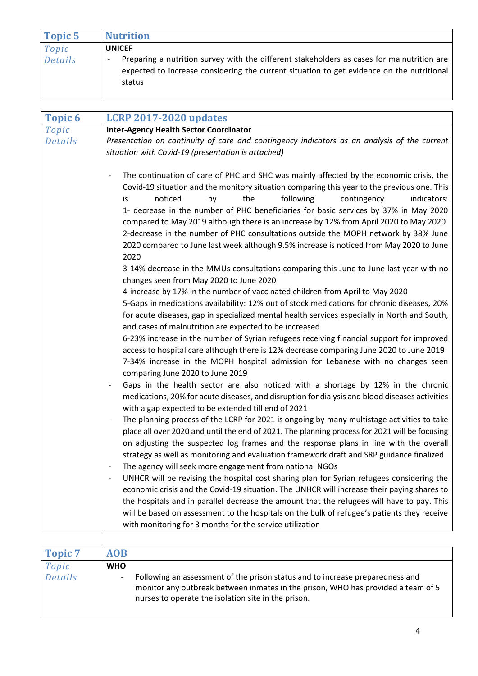| Topic 5 | <b>Nutrition</b>                                                                                                                                                                                  |
|---------|---------------------------------------------------------------------------------------------------------------------------------------------------------------------------------------------------|
| Topic   | <b>UNICEF</b>                                                                                                                                                                                     |
| Details | Preparing a nutrition survey with the different stakeholders as cases for malnutrition are<br>expected to increase considering the current situation to get evidence on the nutritional<br>status |

| <b>Topic 6</b>          | <b>LCRP 2017-2020 updates</b>                                                                                                                                                                                                                                                                                                                                                                                                                                                                                                                                                                                                                                         |
|-------------------------|-----------------------------------------------------------------------------------------------------------------------------------------------------------------------------------------------------------------------------------------------------------------------------------------------------------------------------------------------------------------------------------------------------------------------------------------------------------------------------------------------------------------------------------------------------------------------------------------------------------------------------------------------------------------------|
| Topic<br><b>Details</b> | <b>Inter-Agency Health Sector Coordinator</b><br>Presentation on continuity of care and contingency indicators as an analysis of the current<br>situation with Covid-19 (presentation is attached)                                                                                                                                                                                                                                                                                                                                                                                                                                                                    |
|                         | The continuation of care of PHC and SHC was mainly affected by the economic crisis, the<br>$\overline{\phantom{a}}$<br>Covid-19 situation and the monitory situation comparing this year to the previous one. This<br>noticed<br>the<br>following<br>by<br>contingency<br>indicators:<br>is<br>1- decrease in the number of PHC beneficiaries for basic services by 37% in May 2020<br>compared to May 2019 although there is an increase by 12% from April 2020 to May 2020<br>2-decrease in the number of PHC consultations outside the MOPH network by 38% June<br>2020 compared to June last week although 9.5% increase is noticed from May 2020 to June<br>2020 |
|                         | 3-14% decrease in the MMUs consultations comparing this June to June last year with no<br>changes seen from May 2020 to June 2020<br>4-increase by 17% in the number of vaccinated children from April to May 2020<br>5-Gaps in medications availability: 12% out of stock medications for chronic diseases, 20%<br>for acute diseases, gap in specialized mental health services especially in North and South,<br>and cases of malnutrition are expected to be increased                                                                                                                                                                                            |
|                         | 6-23% increase in the number of Syrian refugees receiving financial support for improved<br>access to hospital care although there is 12% decrease comparing June 2020 to June 2019<br>7-34% increase in the MOPH hospital admission for Lebanese with no changes seen<br>comparing June 2020 to June 2019<br>Gaps in the health sector are also noticed with a shortage by 12% in the chronic<br>medications, 20% for acute diseases, and disruption for dialysis and blood diseases activities                                                                                                                                                                      |
|                         | with a gap expected to be extended till end of 2021<br>The planning process of the LCRP for 2021 is ongoing by many multistage activities to take<br>$\overline{\phantom{a}}$<br>place all over 2020 and until the end of 2021. The planning process for 2021 will be focusing<br>on adjusting the suspected log frames and the response plans in line with the overall<br>strategy as well as monitoring and evaluation framework draft and SRP guidance finalized<br>The agency will seek more engagement from national NGOs                                                                                                                                        |
|                         | UNHCR will be revising the hospital cost sharing plan for Syrian refugees considering the<br>economic crisis and the Covid-19 situation. The UNHCR will increase their paying shares to<br>the hospitals and in parallel decrease the amount that the refugees will have to pay. This<br>will be based on assessment to the hospitals on the bulk of refugee's patients they receive<br>with monitoring for 3 months for the service utilization                                                                                                                                                                                                                      |

| Topic 7 | <b>AOB</b> |                                                                                                                                                                                                                          |
|---------|------------|--------------------------------------------------------------------------------------------------------------------------------------------------------------------------------------------------------------------------|
| Topic   | <b>WHO</b> |                                                                                                                                                                                                                          |
| Details |            | Following an assessment of the prison status and to increase preparedness and<br>monitor any outbreak between inmates in the prison, WHO has provided a team of 5<br>nurses to operate the isolation site in the prison. |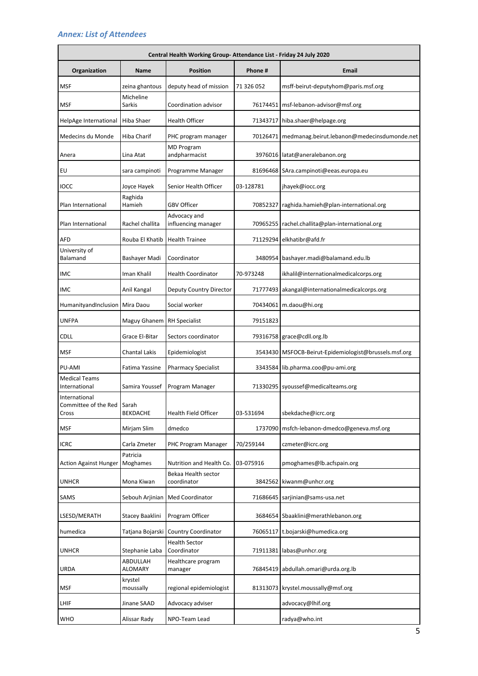## *Annex: List of Attendees*

|                                                |                            | Central Health Working Group-Attendance List - Friday 24 July 2020 |            |                                                         |
|------------------------------------------------|----------------------------|--------------------------------------------------------------------|------------|---------------------------------------------------------|
| Organization                                   | <b>Name</b>                | <b>Position</b>                                                    | Phone #    | <b>Email</b>                                            |
| <b>MSF</b>                                     | zeina ghantous             | deputy head of mission                                             | 71 326 052 | msff-beirut-deputyhom@paris.msf.org                     |
| <b>MSF</b>                                     | Micheline<br>Sarkis        | Coordination advisor                                               |            | 76174451   msf-lebanon-advisor@msf.org                  |
| HelpAge International                          | Hiba Shaer                 | <b>Health Officer</b>                                              |            | 71343717 hiba.shaer@helpage.org                         |
| Medecins du Monde                              | Hiba Charif                | PHC program manager                                                |            | 70126471   medmanag.beirut.lebanon@medecinsdumonde.net  |
| Anera                                          | Lina Atat                  | <b>MD</b> Program<br>andpharmacist                                 |            | 3976016   latat@aneralebanon.org                        |
| EU                                             | sara campinoti             | Programme Manager                                                  |            | 81696468 SAra.campinoti@eeas.europa.eu                  |
| <b>IOCC</b>                                    | Joyce Hayek                | Senior Health Officer                                              | 03-128781  | jhayek@iocc.org                                         |
| Plan International                             | Raghida<br>Hamieh          | <b>GBV Officer</b>                                                 |            | 70852327 raghida.hamieh@plan-international.org          |
| Plan International                             | Rachel challita            | Advocacy and<br>influencing manager                                | 70965255   | rachel.challita@plan-international.org                  |
| AFD                                            | Rouba El Khatib            | <b>Health Trainee</b>                                              |            | 71129294 elkhatibr@afd.fr                               |
| University of<br>Balamand                      | Bashayer Madi              | Coordinator                                                        |            | 3480954 bashayer.madi@balamand.edu.lb                   |
| IMC                                            | Iman Khalil                | <b>Health Coordinator</b>                                          | 70-973248  | ikhalil@internationalmedicalcorps.org                   |
| IMC                                            | Anil Kangal                | <b>Deputy Country Director</b>                                     |            | 71777493   akangal@internationalmedicalcorps.org        |
| HumanityandInclusion                           | Mira Daou                  | Social worker                                                      |            | 70434061 m.daou@hi.org                                  |
| <b>UNFPA</b>                                   | Maguy Ghanem               | <b>RH Specialist</b>                                               | 79151823   |                                                         |
| <b>CDLL</b>                                    | Grace El-Bitar             | Sectors coordinator                                                |            | 79316758 grace@cdll.org.lb                              |
| <b>MSF</b>                                     | <b>Chantal Lakis</b>       | Epidemiologist                                                     |            | 3543430   MSFOCB-Beirut-Epidemiologist@brussels.msf.org |
| PU-AMI                                         | Fatima Yassine             | <b>Pharmacy Specialist</b>                                         |            | 3343584 lib.pharma.coo@pu-ami.org                       |
| <b>Medical Teams</b><br>International          | Samira Youssef             | Program Manager                                                    |            | 71330295 syoussef@medicalteams.org                      |
| International<br>Committee of the Red<br>Cross | Sarah<br><b>BEKDACHE</b>   | Health Field Officer                                               | 03-531694  | sbekdache@icrc.org                                      |
| <b>MSF</b>                                     | Mirjam Slim                | dmedco                                                             |            | 1737090   msfch-lebanon-dmedco@geneva.msf.org           |
| <b>ICRC</b>                                    | Carla Zmeter               | PHC Program Manager                                                | 70/259144  | czmeter@icrc.org                                        |
| <b>Action Against Hunger</b>                   | Patricia<br>Moghames       | Nutrition and Health Co.                                           | 03-075916  | pmoghames@lb.acfspain.org                               |
| <b>UNHCR</b>                                   | Mona Kiwan                 | Bekaa Health sector<br>coordinator                                 |            | 3842562 kiwanm@unhcr.org                                |
| SAMS                                           | Sebouh Arjinian            | Med Coordinator                                                    |            | 71686645 sarjinian@sams-usa.net                         |
| LSESD/MERATH                                   | Stacey Baaklini            | Program Officer                                                    |            | 3684654 Sbaaklini@merathlebanon.org                     |
| humedica                                       | Tatjana Bojarski           | <b>Country Coordinator</b>                                         |            | 76065117 t.bojarski@humedica.org                        |
| <b>UNHCR</b>                                   | Stephanie Laba             | <b>Health Sector</b><br>Coordinator                                |            | 71911381   labas@unhcr.org                              |
| <b>URDA</b>                                    | ABDULLAH<br><b>ALOMARY</b> | Healthcare program<br>manager                                      |            | 76845419 abdullah.omari@urda.org.lb                     |
| MSF                                            | krystel<br>moussally       | regional epidemiologist                                            |            | 81313073 krystel.moussally@msf.org                      |
| LHIF                                           | Jinane SAAD                | Advocacy adviser                                                   |            | advocacy@lhif.org                                       |
| <b>WHO</b>                                     | Alissar Rady               | NPO-Team Lead                                                      |            | radya@who.int                                           |